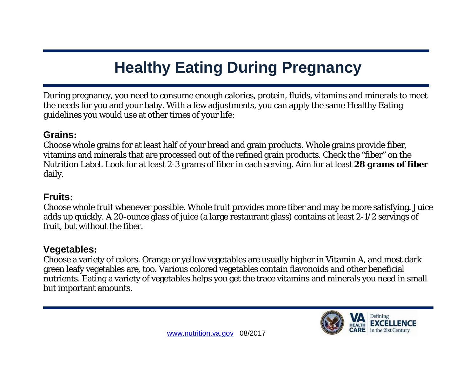# **Healthy Eating During Pregnancy**

During pregnancy, you need to consume enough calories, protein, fluids, vitamins and minerals to meet the needs for you and your baby. With a few adjustments, you can apply the same Healthy Eating guidelines you would use at other times of your life:

## **Grains:**

Choose whole grains for at least half of your bread and grain products. Whole grains provide fiber, vitamins and minerals that are processed out of the refined grain products. Check the "fiber" on the Nutrition Label. Look for at least 2-3 grams of fiber in each serving. Aim for at least **28 grams of fiber** daily.

## **Fruits:**

Choose whole fruit whenever possible. Whole fruit provides more fiber and may be more satisfying. Juice adds up quickly. A 20-ounce glass of juice (a large restaurant glass) contains at least 2-1/2 servings of fruit, but without the fiber.

# **Vegetables:**

Choose a variety of colors. Orange or yellow vegetables are usually higher in Vitamin A, and most dark green leafy vegetables are, too. Various colored vegetables contain flavonoids and other beneficial nutrients. Eating a variety of vegetables helps you get the trace vitamins and minerals you need in small but important amounts.

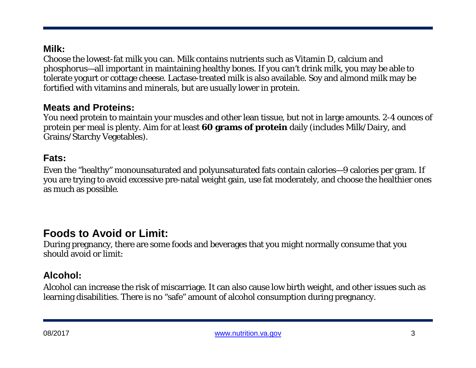# **Milk:**

Choose the lowest-fat milk you can. Milk contains nutrients such as Vitamin D, calcium and phosphorus—all important in maintaining healthy bones. If you can't drink milk, you may be able to tolerate yogurt or cottage cheese. Lactase-treated milk is also available. Soy and almond milk may be fortified with vitamins and minerals, but are usually lower in protein.

#### **Meats and Proteins:**

You need protein to maintain your muscles and other lean tissue, but not in large amounts. 2-4 ounces of protein per meal is plenty. Aim for at least **60 grams of protein** daily (includes Milk/Dairy, and Grains/Starchy Vegetables).

#### **Fats:**

Even the "healthy" monounsaturated and polyunsaturated fats contain calories—9 calories per gram. If you are trying to avoid excessive pre-natal weight gain, use fat moderately, and choose the healthier ones as much as possible.

# **Foods to Avoid or Limit:**

During pregnancy, there are some foods and beverages that you might normally consume that you should avoid or limit:

## **Alcohol:**

Alcohol can increase the risk of miscarriage. It can also cause low birth weight, and other issues such as learning disabilities. There is no "safe" amount of alcohol consumption during pregnancy.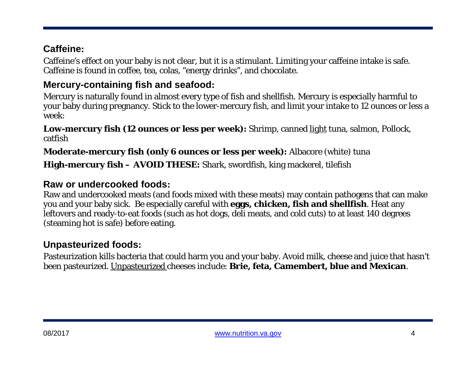# **Caffeine:**

Caffeine's effect on your baby is not clear, but it is a stimulant. Limiting your caffeine intake is safe. Caffeine is found in coffee, tea, colas, "energy drinks", and chocolate.

# **Mercury-containing fish and seafood:**

Mercury is naturally found in almost every type of fish and shellfish. Mercury is especially harmful to your baby during pregnancy. Stick to the lower-mercury fish, and limit your intake to 12 ounces or less a week:

**Low-mercury fish (12 ounces or less per week):** Shrimp, canned light tuna, salmon, Pollock, catfish

#### **Moderate-mercury fish (only 6 ounces or less per week):** Albacore (white) tuna

#### **High-mercury fish – AVOID THESE:** Shark, swordfish, king mackerel, tilefish

## **Raw or undercooked foods:**

Raw and undercooked meats (and foods mixed with these meats) may contain pathogens that can make you and your baby sick. Be especially careful with **eggs, chicken, fish and shellfish**. Heat any leftovers and ready-to-eat foods (such as hot dogs, deli meats, and cold cuts) to at least 140 degrees (steaming hot is safe) before eating.

## **Unpasteurized foods:**

Pasteurization kills bacteria that could harm you and your baby. Avoid milk, cheese and juice that hasn't been pasteurized. Unpasteurized cheeses include: **Brie, feta, Camembert, blue and Mexican**.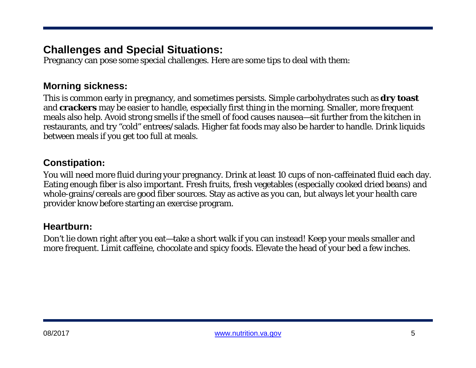# **Challenges and Special Situations:**

Pregnancy can pose some special challenges. Here are some tips to deal with them:

## **Morning sickness:**

This is common early in pregnancy, and sometimes persists. Simple carbohydrates such as **dry toast** and **crackers** may be easier to handle, especially first thing in the morning. Smaller, more frequent meals also help. Avoid strong smells if the smell of food causes nausea—sit further from the kitchen in restaurants, and try "cold" entrees/salads. Higher fat foods may also be harder to handle. Drink liquids between meals if you get too full at meals.

## **Constipation:**

You will need more fluid during your pregnancy. Drink at least 10 cups of non-caffeinated fluid each day. Eating enough fiber is also important. Fresh fruits, fresh vegetables (especially cooked dried beans) and whole-grains/cereals are good fiber sources. Stay as active as you can, but always let your health care provider know before starting an exercise program.

## **Heartburn:**

Don't lie down right after you eat—take a short walk if you can instead! Keep your meals smaller and more frequent. Limit caffeine, chocolate and spicy foods. Elevate the head of your bed a few inches.